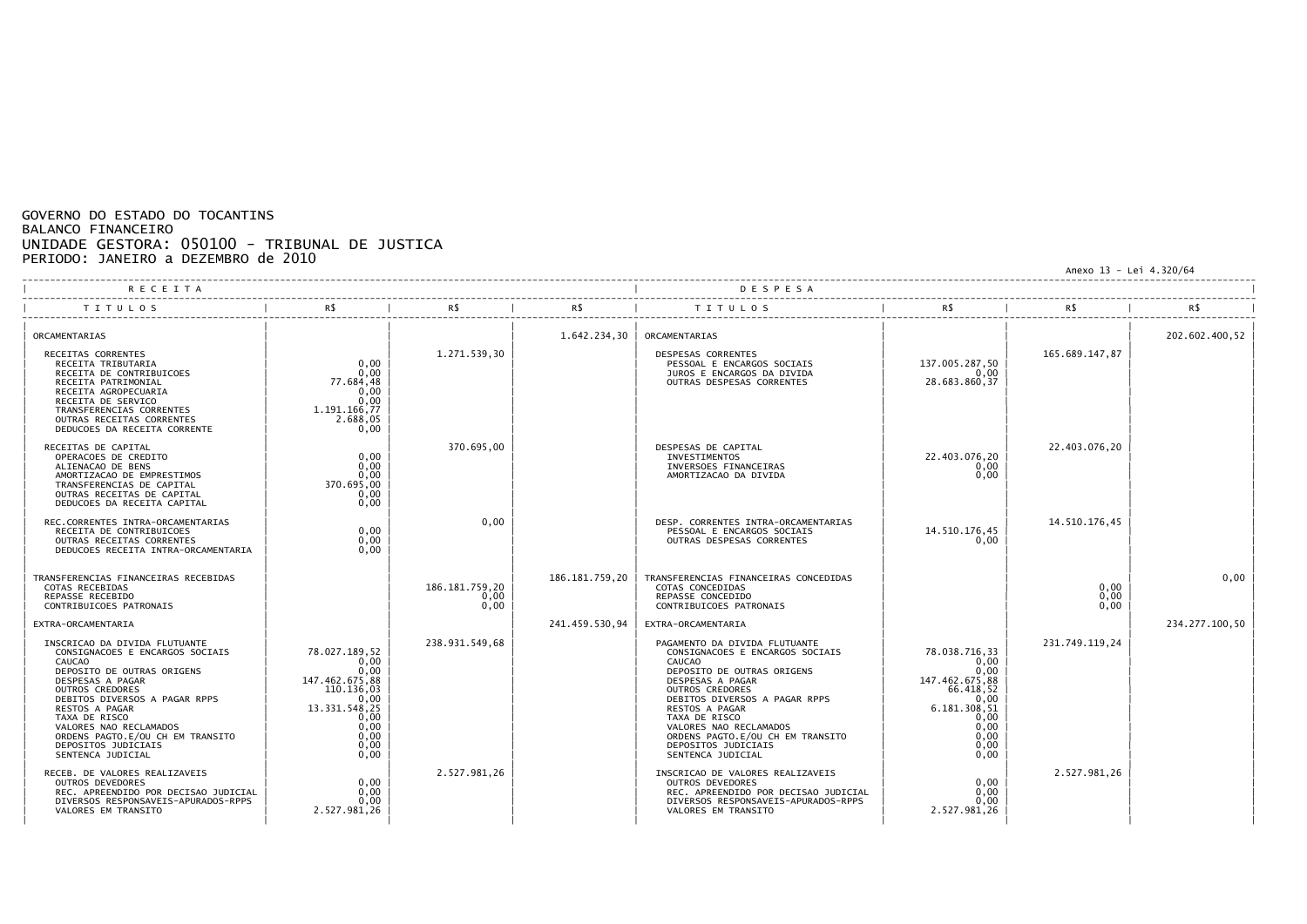## GOVERNO DO ESTADO DO TOCANTINS BALANCO FINANCEIRO UNIDADE GESTORA: 050100 - TRIBUNAL DE JUSTICA PERIODO: JANEIRO a DEZEMBRO de 2010

Anexo 13 - Lei 4.320/64

| <b>RECEITA</b>                                                                                                                                                                                                                                                                                                                                             |                                                                                                                                |                                |                | DESPESA                                                                                                                                                                                                                                                                                                                                             |                                                                                                                              |                      |                |
|------------------------------------------------------------------------------------------------------------------------------------------------------------------------------------------------------------------------------------------------------------------------------------------------------------------------------------------------------------|--------------------------------------------------------------------------------------------------------------------------------|--------------------------------|----------------|-----------------------------------------------------------------------------------------------------------------------------------------------------------------------------------------------------------------------------------------------------------------------------------------------------------------------------------------------------|------------------------------------------------------------------------------------------------------------------------------|----------------------|----------------|
| <b>TITULOS</b>                                                                                                                                                                                                                                                                                                                                             |                                                                                                                                | R\$                            | R\$            | TITULOS                                                                                                                                                                                                                                                                                                                                             | R\$                                                                                                                          |                      |                |
| ORCAMENTARIAS<br>RECEITAS CORRENTES<br>RECEITA TRIBUTARIA<br>RECEITA DE CONTRIBUICOES<br>RECEITA PATRIMONIAL<br>RECEITA AGROPECUARIA<br>RECEITA DE SERVICO<br>TRANSFERENCIAS CORRENTES<br>OUTRAS RECEITAS CORRENTES<br>DEDUCOES DA RECEITA CORRENTE                                                                                                        | 0.00<br>0.00<br>77.684.48<br>0,00<br>0,00<br>1.191.166,77<br>2.688,05<br>0,00                                                  | 1.271.539,30                   | 1.642.234,30   | ORCAMENTARIAS<br>DESPESAS CORRENTES<br>PESSOAL E ENCARGOS SOCIAIS<br>JUROS E ENCARGOS DA DIVIDA<br>OUTRAS DESPESAS CORRENTES                                                                                                                                                                                                                        | 137.005.287,50<br>0,00<br>28.683.860,37                                                                                      | 165.689.147,87       | 202.602.400.52 |
| RECEITAS DE CAPITAL<br>OPERACOES DE CREDITO<br>ALIENACAO DE BENS<br>AMORTIZACAO DE EMPRESTIMOS<br>TRANSFERENCIAS DE CAPITAL<br>OUTRAS RECEITAS DE CAPITAL<br>DEDUCOES DA RECEITA CAPITAL                                                                                                                                                                   | 0,00<br>0.00<br>0,00<br>370.695,00<br>0,00<br>0,00                                                                             | 370.695,00                     |                | DESPESAS DE CAPITAL<br><b>INVESTIMENTOS</b><br>INVERSOES FINANCEIRAS<br>AMORTIZACAO DA DIVIDA                                                                                                                                                                                                                                                       | 22.403.076,20<br>0,00<br>0,00                                                                                                | 22.403.076.20        |                |
| REC.CORRENTES INTRA-ORCAMENTARIAS<br>RECEITA DE CONTRIBUICOES<br>OUTRAS RECEITAS CORRENTES<br>DEDUCOES RECEITA INTRA-ORCAMENTARIA                                                                                                                                                                                                                          | 0,00<br>0,00<br>0.00                                                                                                           | 0,00                           |                | DESP. CORRENTES INTRA-ORCAMENTARIAS<br>PESSOAL E ENCARGOS SOCIAIS<br>OUTRAS DESPESAS CORRENTES                                                                                                                                                                                                                                                      | 14.510.176,45<br>0,00                                                                                                        | 14.510.176.45        |                |
| TRANSFERENCIAS FINANCEIRAS RECEBIDAS<br>COTAS RECEBIDAS<br>REPASSE RECEBIDO<br>CONTRIBUICOES PATRONAIS                                                                                                                                                                                                                                                     |                                                                                                                                | 186.181.759.20<br>0,00<br>0,00 | 186.181.759.20 | TRANSFERENCIAS FINANCEIRAS CONCEDIDAS<br>COTAS CONCEDIDAS<br>REPASSE CONCEDIDO<br>CONTRIBUICOES PATRONAIS                                                                                                                                                                                                                                           |                                                                                                                              | 0.00<br>0.00<br>0,00 | 0,00           |
| EXTRA-ORCAMENTARIA<br>INSCRICAO DA DIVIDA FLUTUANTE<br>CONSIGNACOES E ENCARGOS SOCIAIS<br><b>CAUCAO</b><br>DEPOSITO DE OUTRAS ORIGENS<br>DESPESAS A PAGAR<br>OUTROS CREDORES<br>DEBITOS DIVERSOS A PAGAR RPPS<br>RESTOS A PAGAR<br>TAXA DE RISCO<br>VALORES NAO RECLAMADOS<br>ORDENS PAGTO.E/OU CH EM TRANSITO<br>DEPOSITOS JUDICIAIS<br>SENTENCA JUDICIAL | 78.027.189.52<br>0,00<br>0,00<br>147.462.675,88<br>110.136,03<br>0,00<br>13.331.548,25<br>0.00<br>0,00<br>0,00<br>0,00<br>0,00 | 238.931.549,68                 | 241.459.530,94 | EXTRA-ORCAMENTARIA<br>PAGAMENTO DA DIVIDA FLUTUANTE<br>CONSIGNACOES E ENCARGOS SOCIAIS<br>CAUCAO<br>DEPOSITO DE OUTRAS ORIGENS<br>DESPESAS A PAGAR<br>OUTROS CREDORES<br>DEBITOS DIVERSOS A PAGAR RPPS<br>RESTOS A PAGAR<br>TAXA DE RISCO<br>VALORES NAO RECLAMADOS<br>ORDENS PAGTO.E/OU CH EM TRANSITO<br>DEPOSITOS JUDICIAIS<br>SENTENCA JUDICIAL | 78.038.716.33<br>0,00<br>0,00<br>147.462.675,88<br>66.418,52<br>0,00<br>6.181.308.51<br>0,00<br>0,00<br>0,00<br>0,00<br>0,00 | 231.749.119.24       | 234.277.100.50 |
| RECEB. DE VALORES REALIZAVEIS<br>OUTROS DEVEDORES<br>REC. APREENDIDO POR DECISAO JUDICIAL<br>DIVERSOS RESPONSAVEIS-APURADOS-RPPS<br>VALORES EM TRANSITO                                                                                                                                                                                                    | 0,00<br>0.00<br>0.00<br>2.527.981,26                                                                                           | 2.527.981,26                   |                | INSCRICAO DE VALORES REALIZAVEIS<br>OUTROS DEVEDORES<br>REC. APREENDIDO POR DECISAO JUDICIAL<br>DIVERSOS RESPONSAVEIS-APURADOS-RPPS<br>VALORES EM TRANSITO                                                                                                                                                                                          | 0,00<br>0,00<br>0,00<br>2.527.981,26                                                                                         | 2.527.981.26         |                |